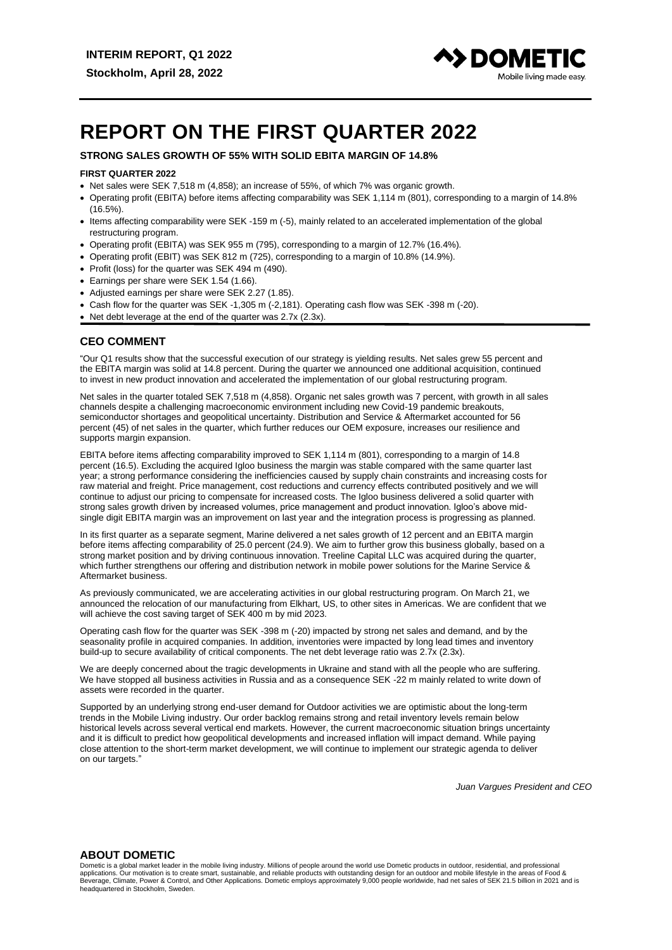

# **REPORT ON THE FIRST QUARTER 2022**

# **STRONG SALES GROWTH OF 55% WITH SOLID EBITA MARGIN OF 14.8%**

#### **FIRST QUARTER 2022**

- Net sales were SEK 7,518 m (4,858); an increase of 55%, of which 7% was organic growth.
- Operating profit (EBITA) before items affecting comparability was SEK 1,114 m (801), corresponding to a margin of 14.8% (16.5%).
- Items affecting comparability were SEK -159 m (-5), mainly related to an accelerated implementation of the global restructuring program.
- Operating profit (EBITA) was SEK 955 m (795), corresponding to a margin of 12.7% (16.4%).
- Operating profit (EBIT) was SEK 812 m (725), corresponding to a margin of 10.8% (14.9%).
- Profit (loss) for the quarter was SEK 494 m (490).
- Earnings per share were SEK 1.54 (1.66).
- Adjusted earnings per share were SEK 2.27 (1.85).
- Cash flow for the quarter was SEK -1,305 m (-2,181). Operating cash flow was SEK -398 m (-20).
- Net debt leverage at the end of the quarter was 2.7x (2.3x).

## **CEO COMMENT**

"Our Q1 results show that the successful execution of our strategy is yielding results. Net sales grew 55 percent and the EBITA margin was solid at 14.8 percent. During the quarter we announced one additional acquisition, continued to invest in new product innovation and accelerated the implementation of our global restructuring program.

Net sales in the quarter totaled SEK 7,518 m (4,858). Organic net sales growth was 7 percent, with growth in all sales channels despite a challenging macroeconomic environment including new Covid-19 pandemic breakouts, semiconductor shortages and geopolitical uncertainty. Distribution and Service & Aftermarket accounted for 56 percent (45) of net sales in the quarter, which further reduces our OEM exposure, increases our resilience and supports margin expansion.

EBITA before items affecting comparability improved to SEK 1,114 m (801), corresponding to a margin of 14.8 percent (16.5). Excluding the acquired Igloo business the margin was stable compared with the same quarter last year; a strong performance considering the inefficiencies caused by supply chain constraints and increasing costs for raw material and freight. Price management, cost reductions and currency effects contributed positively and we will continue to adjust our pricing to compensate for increased costs. The Igloo business delivered a solid quarter with strong sales growth driven by increased volumes, price management and product innovation. Igloo's above midsingle digit EBITA margin was an improvement on last year and the integration process is progressing as planned.

In its first quarter as a separate segment, Marine delivered a net sales growth of 12 percent and an EBITA margin before items affecting comparability of 25.0 percent (24.9). We aim to further grow this business globally, based on a strong market position and by driving continuous innovation. Treeline Capital LLC was acquired during the quarter, which further strengthens our offering and distribution network in mobile power solutions for the Marine Service & Aftermarket business.

As previously communicated, we are accelerating activities in our global restructuring program. On March 21, we announced the relocation of our manufacturing from Elkhart, US, to other sites in Americas. We are confident that we will achieve the cost saving target of SEK 400 m by mid 2023.

Operating cash flow for the quarter was SEK -398 m (-20) impacted by strong net sales and demand, and by the seasonality profile in acquired companies. In addition, inventories were impacted by long lead times and inventory build-up to secure availability of critical components. The net debt leverage ratio was 2.7x (2.3x).

We are deeply concerned about the tragic developments in Ukraine and stand with all the people who are suffering. We have stopped all business activities in Russia and as a consequence SEK -22 m mainly related to write down of assets were recorded in the quarter.

Supported by an underlying strong end-user demand for Outdoor activities we are optimistic about the long-term trends in the Mobile Living industry. Our order backlog remains strong and retail inventory levels remain below historical levels across several vertical end markets. However, the current macroeconomic situation brings uncertainty and it is difficult to predict how geopolitical developments and increased inflation will impact demand. While paying close attention to the short-term market development, we will continue to implement our strategic agenda to deliver on our targets."

*Juan Vargues President and CEO*

#### **ABOUT DOMETIC**

Dometic is a global market leader in the mobile living industry. Millions of people around the world use Dometic products in outdoor, residential, and professional applications. Our motivation is to create smart, sustainable, and reliable products with outstanding design for an outdoor and mobile lifestyle in the areas of Food &<br>Beverage, Climate, Power & Control, and Other Applicati headquartered in Stockholm, Sweden.